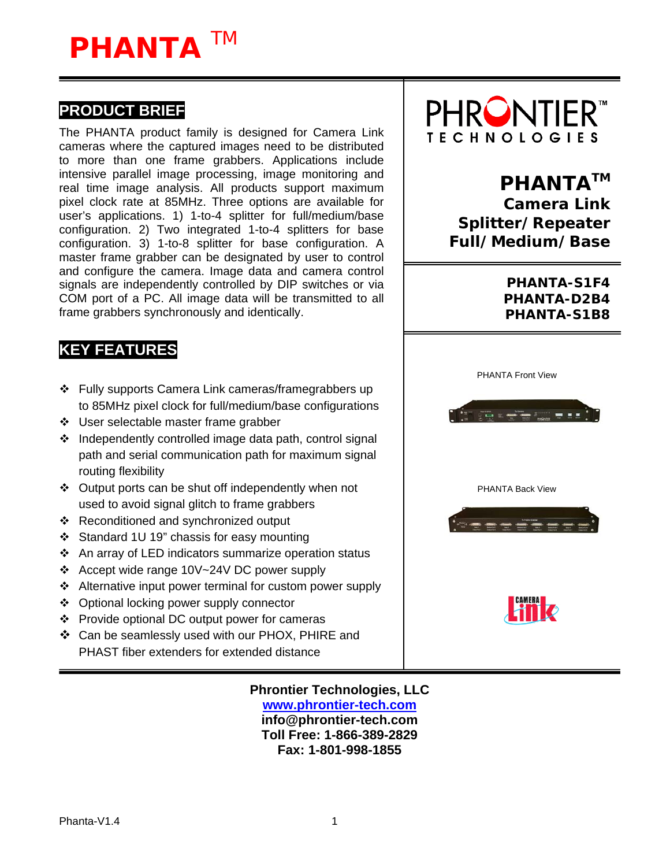# **PHANTA** TM

### **PRODUCT BRIEF**

The PHANTA product family is designed for Camera Link cameras where the captured images need to be distributed to more than one frame grabbers. Applications include intensive parallel image processing, image monitoring and real time image analysis. All products support maximum pixel clock rate at 85MHz. Three options are available for user's applications. 1) 1-to-4 splitter for full/medium/base configuration. 2) Two integrated 1-to-4 splitters for base configuration. 3) 1-to-8 splitter for base configuration. A master frame grabber can be designated by user to control and configure the camera. Image data and camera control signals are independently controlled by DIP switches or via COM port of a PC. All image data will be transmitted to all frame grabbers synchronously and identically.



## **PHANTA™**

**Camera Link Splitter/Repeater Full/Medium/Base** 

> **PHANTA-S1F4 PHANTA-D2B4 PHANTA-S1B8**

### **KEY FEATURES**

- Fully supports Camera Link cameras/framegrabbers up to 85MHz pixel clock for full/medium/base configurations
- ❖ User selectable master frame grabber
- $\div$  Independently controlled image data path, control signal path and serial communication path for maximum signal routing flexibility
- $\div$  Output ports can be shut off independently when not used to avoid signal glitch to frame grabbers
- ❖ Reconditioned and synchronized output
- Standard 1U 19" chassis for easy mounting
- An array of LED indicators summarize operation status
- Accept wide range 10V~24V DC power supply
- ❖ Alternative input power terminal for custom power supply
- ❖ Optional locking power supply connector
- Provide optional DC output power for cameras
- Can be seamlessly used with our PHOX, PHIRE and PHAST fiber extenders for extended distance

**Phrontier Technologies, LLC [www.phrontier-tech.com](http://www.phrontier-tech.com/) info@phrontier-tech.com Toll Free: 1-866-389-2829 Fax: 1-801-998-1855** 

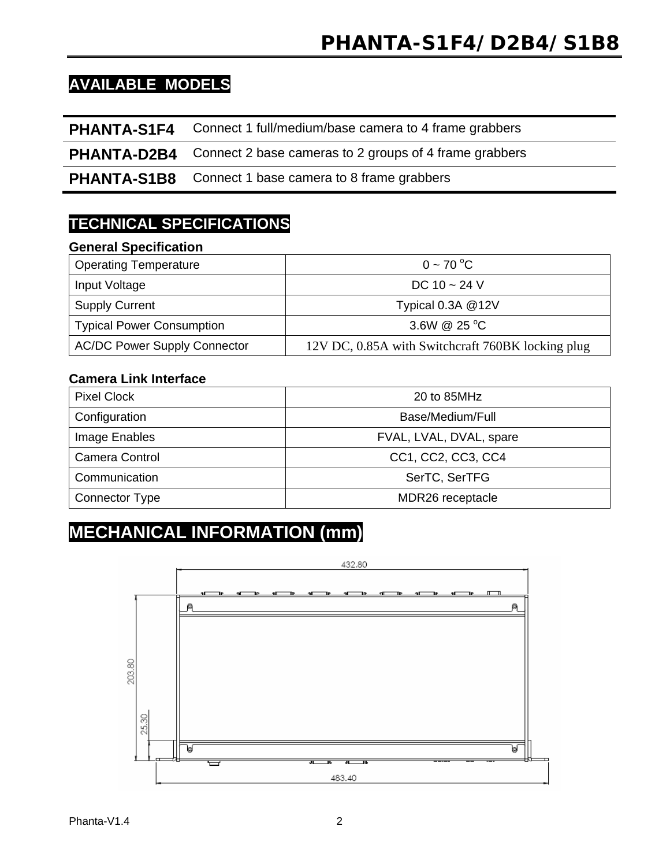# **PHANTA-S1F4/D2B4/S1B8**

### **AVAILABLE MODELS**

**PHANTA-S1F4** Connect 1 full/medium/base camera to 4 frame grabbers

**PHANTA-D2B4** Connect 2 base cameras to 2 groups of 4 frame grabbers

**PHANTA-S1B8** Connect 1 base camera to 8 frame grabbers

### **TECHNICAL SPECIFICATIONS**

#### **General Specification**

| <b>Operating Temperature</b>        | $0 \sim 70 °C$                                    |
|-------------------------------------|---------------------------------------------------|
| Input Voltage                       | DC 10 $\sim$ 24 V                                 |
| <b>Supply Current</b>               | Typical 0.3A @12V                                 |
| <b>Typical Power Consumption</b>    | 3.6W $@$ 25 °C                                    |
| <b>AC/DC Power Supply Connector</b> | 12V DC, 0.85A with Switchcraft 760BK locking plug |

#### **Camera Link Interface**

| <b>Pixel Clock</b> | 20 to 85MHz             |
|--------------------|-------------------------|
| Configuration      | Base/Medium/Full        |
| Image Enables      | FVAL, LVAL, DVAL, spare |
| Camera Control     | CC1, CC2, CC3, CC4      |
| Communication      | SerTC, SerTFG           |
| Connector Type     | MDR26 receptacle        |

# **MECHANICAL INFORMATION (mm)**

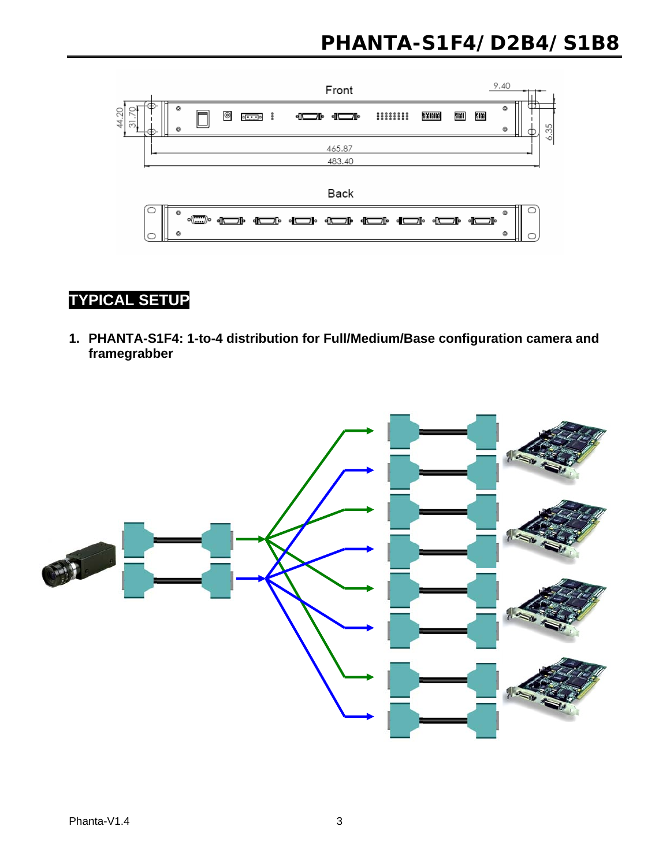# **PHANTA-S1F4/D2B4/S1B8**



### **TYPICAL SETUP**

**1. PHANTA-S1F4: 1-to-4 distribution for Full/Medium/Base configuration camera and framegrabber** 

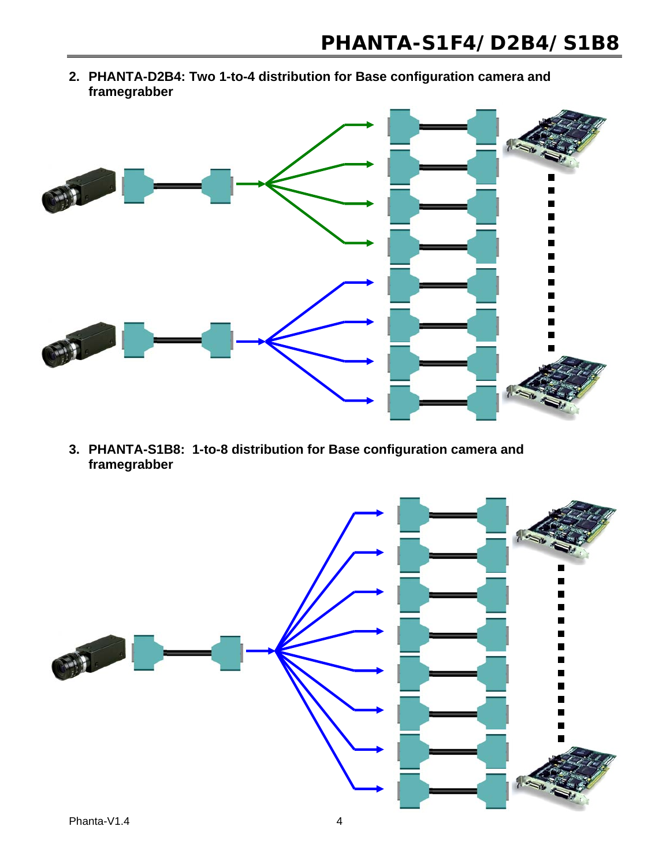**2. PHANTA-D2B4: Two 1-to-4 distribution for Base configuration camera and framegrabber** 



**3. PHANTA-S1B8: 1-to-8 distribution for Base configuration camera and framegrabber**